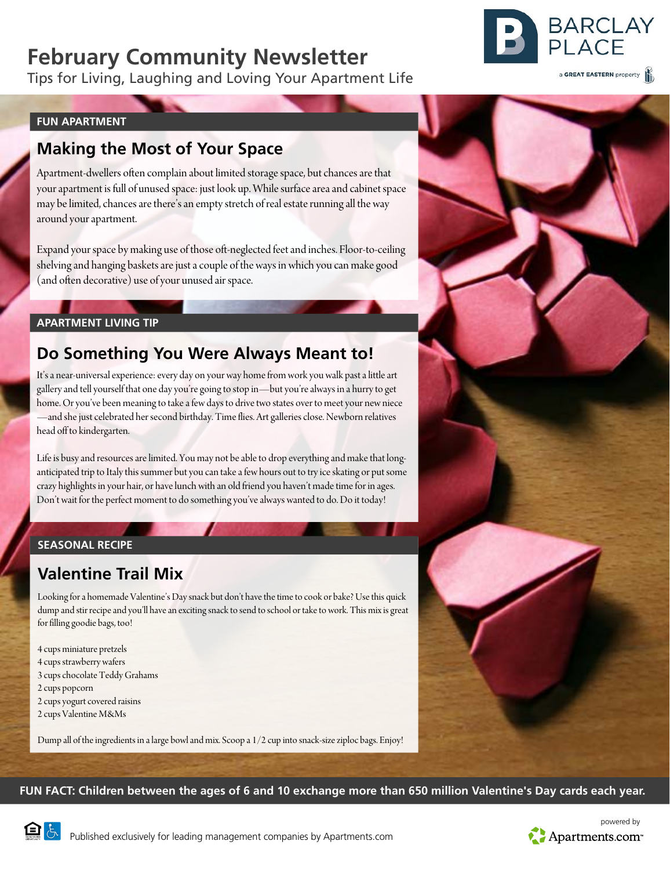# **February Community Newsletter**

Tips for Living, Laughing and Loving Your Apartment Life



a GREAT EASTERN property

#### **FUN APARTMENT**

## **Making the Most of Your Space**

Apartment-dwellers often complain about limited storage space, but chances are that your apartment is full of unused space: just look up. While surface area and cabinet space may be limited, chances are there's an empty stretch of real estate running all the way around your apartment.

Expand your space by making use of those oft-neglected feet and inches. Floor-to-ceiling shelving and hanging baskets are just a couple of the ways in which you can make good (and often decorative) use of your unused air space.

### **APARTMENT LIVING TIP**

## **Do Something You Were Always Meant to!**

It's a near-universal experience: every day on your way home from work you walk past a little art gallery and tell yourself that one day you're going to stop in—but you're always in a hurry to get home. Or you've been meaning to take a few days to drive two states over to meet your new niece —and she just celebrated her second birthday. Time flies. Art galleries close. Newborn relatives head off to kindergarten.

Life is busy and resources are limited. You may not be able to drop everything and make that longanticipated trip to Italy this summer but you can take a few hours out to try ice skating or put some crazy highlights in your hair, or have lunch with an old friend you haven't made time for in ages. Don't wait for the perfect moment to do something you've always wanted to do. Do it today!

### **SEASONAL RECIPE**

# **Valentine Trail Mix**

Looking for a homemade Valentine's Day snack but don't have the time to cook or bake? Use this quick dump and stir recipe and you'll have an exciting snack to send to school or take to work. This mix is great for filling goodie bags, too!

4 cups miniature pretzels 4 cups strawberry wafers 3 cups chocolate Teddy Grahams 2 cups popcorn 2 cups yogurt covered raisins 2 cups Valentine M&Ms

Dump all of the ingredients in a large bowl and mix. Scoop a 1/2 cup into snack-size ziploc bags. Enjoy!